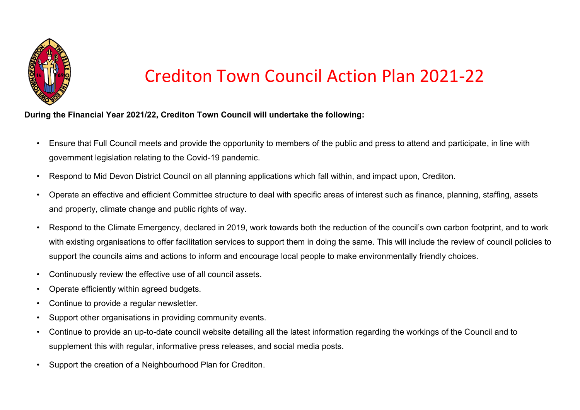

## Crediton Town Council Action Plan 2021-22

## **During the Financial Year 2021/22, Crediton Town Council will undertake the following:**

- Ensure that Full Council meets and provide the opportunity to members of the public and press to attend and participate, in line with government legislation relating to the Covid-19 pandemic.
- Respond to Mid Devon District Council on all planning applications which fall within, and impact upon, Crediton.
- Operate an effective and efficient Committee structure to deal with specific areas of interest such as finance, planning, staffing, assets and property, climate change and public rights of way.
- Respond to the Climate Emergency, declared in 2019, work towards both the reduction of the council's own carbon footprint, and to work with existing organisations to offer facilitation services to support them in doing the same. This will include the review of council policies to support the councils aims and actions to inform and encourage local people to make environmentally friendly choices.
- Continuously review the effective use of all council assets.
- Operate efficiently within agreed budgets.
- Continue to provide a regular newsletter.
- Support other organisations in providing community events.
- Continue to provide an up-to-date council website detailing all the latest information regarding the workings of the Council and to supplement this with regular, informative press releases, and social media posts.
- Support the creation of a Neighbourhood Plan for Crediton.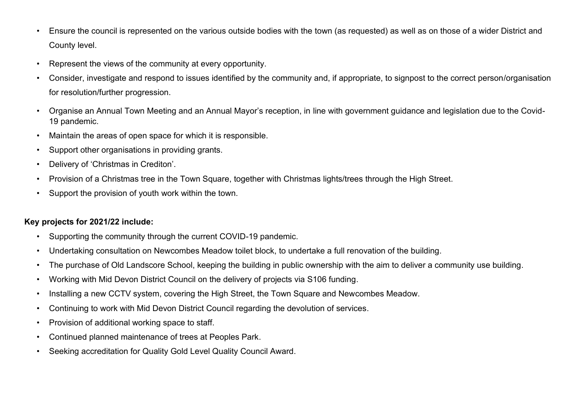- Ensure the council is represented on the various outside bodies with the town (as requested) as well as on those of a wider District and County level.
- Represent the views of the community at every opportunity.
- Consider, investigate and respond to issues identified by the community and, if appropriate, to signpost to the correct person/organisation for resolution/further progression.
- Organise an Annual Town Meeting and an Annual Mayor's reception, in line with government guidance and legislation due to the Covid-19 pandemic.
- Maintain the areas of open space for which it is responsible.
- Support other organisations in providing grants.
- Delivery of 'Christmas in Crediton'.
- Provision of a Christmas tree in the Town Square, together with Christmas lights/trees through the High Street.
- Support the provision of youth work within the town.

## **Key projects for 2021/22 include:**

- Supporting the community through the current COVID-19 pandemic.
- Undertaking consultation on Newcombes Meadow toilet block, to undertake a full renovation of the building.
- The purchase of Old Landscore School, keeping the building in public ownership with the aim to deliver a community use building.
- Working with Mid Devon District Council on the delivery of projects via S106 funding.
- Installing a new CCTV system, covering the High Street, the Town Square and Newcombes Meadow.
- Continuing to work with Mid Devon District Council regarding the devolution of services.
- Provision of additional working space to staff.
- Continued planned maintenance of trees at Peoples Park.
- Seeking accreditation for Quality Gold Level Quality Council Award.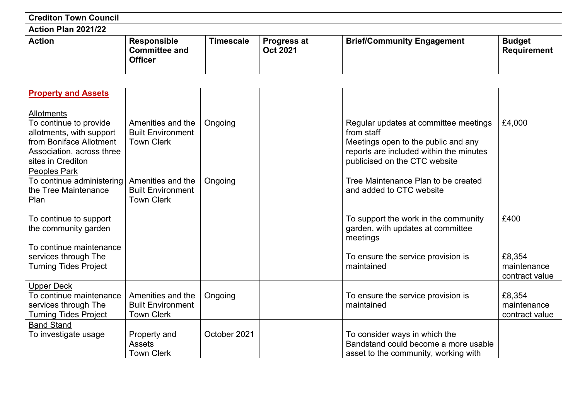| <b>Crediton Town Council</b> |                                                       |                  |                                       |                                   |                                     |
|------------------------------|-------------------------------------------------------|------------------|---------------------------------------|-----------------------------------|-------------------------------------|
| Action Plan 2021/22          |                                                       |                  |                                       |                                   |                                     |
| <b>Action</b>                | Responsible<br><b>Committee and</b><br><b>Officer</b> | <b>Timescale</b> | <b>Progress at</b><br><b>Oct 2021</b> | <b>Brief/Community Engagement</b> | <b>Budget</b><br><b>Requirement</b> |

| <b>Property and Assets</b>                                                                                                                    |                                                                    |              |                                                                                                                                                                        |                                         |
|-----------------------------------------------------------------------------------------------------------------------------------------------|--------------------------------------------------------------------|--------------|------------------------------------------------------------------------------------------------------------------------------------------------------------------------|-----------------------------------------|
| Allotments<br>To continue to provide<br>allotments, with support<br>from Boniface Allotment<br>Association, across three<br>sites in Crediton | Amenities and the<br><b>Built Environment</b><br><b>Town Clerk</b> | Ongoing      | Regular updates at committee meetings<br>from staff<br>Meetings open to the public and any<br>reports are included within the minutes<br>publicised on the CTC website | £4,000                                  |
| Peoples Park<br>To continue administering<br>the Tree Maintenance<br>Plan                                                                     | Amenities and the<br><b>Built Environment</b><br><b>Town Clerk</b> | Ongoing      | Tree Maintenance Plan to be created<br>and added to CTC website                                                                                                        |                                         |
| To continue to support<br>the community garden<br>To continue maintenance                                                                     |                                                                    |              | To support the work in the community<br>garden, with updates at committee<br>meetings                                                                                  | £400                                    |
| services through The<br><b>Turning Tides Project</b>                                                                                          |                                                                    |              | To ensure the service provision is<br>maintained                                                                                                                       | £8,354<br>maintenance<br>contract value |
| <b>Upper Deck</b><br>To continue maintenance<br>services through The<br><b>Turning Tides Project</b>                                          | Amenities and the<br><b>Built Environment</b><br><b>Town Clerk</b> | Ongoing      | To ensure the service provision is<br>maintained                                                                                                                       | £8,354<br>maintenance<br>contract value |
| <b>Band Stand</b><br>To investigate usage                                                                                                     | Property and<br><b>Assets</b><br><b>Town Clerk</b>                 | October 2021 | To consider ways in which the<br>Bandstand could become a more usable<br>asset to the community, working with                                                          |                                         |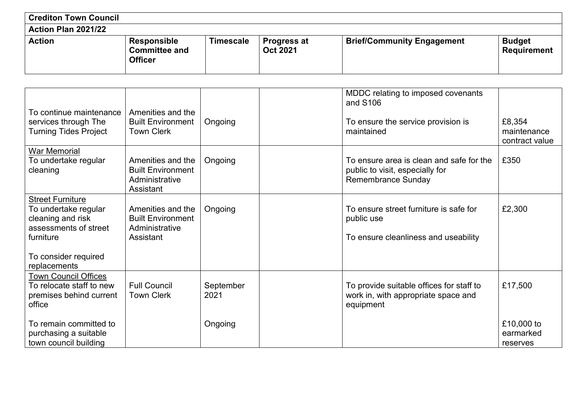| <b>Crediton Town Council</b> |                                                       |                  |                                       |                                   |                                     |
|------------------------------|-------------------------------------------------------|------------------|---------------------------------------|-----------------------------------|-------------------------------------|
| <b>Action Plan 2021/22</b>   |                                                       |                  |                                       |                                   |                                     |
| <b>Action</b>                | Responsible<br><b>Committee and</b><br><b>Officer</b> | <b>Timescale</b> | <b>Progress at</b><br><b>Oct 2021</b> | <b>Brief/Community Engagement</b> | <b>Budget</b><br><b>Requirement</b> |

| To continue maintenance<br>services through The<br><b>Turning Tides Project</b>                                                                    | Amenities and the<br><b>Built Environment</b><br><b>Town Clerk</b>           | Ongoing           | MDDC relating to imposed covenants<br>and S106<br>To ensure the service provision is<br>maintained       | £8,354<br>maintenance<br>contract value |
|----------------------------------------------------------------------------------------------------------------------------------------------------|------------------------------------------------------------------------------|-------------------|----------------------------------------------------------------------------------------------------------|-----------------------------------------|
| <b>War Memorial</b><br>To undertake regular<br>cleaning                                                                                            | Amenities and the<br><b>Built Environment</b><br>Administrative<br>Assistant | Ongoing           | To ensure area is clean and safe for the<br>public to visit, especially for<br><b>Remembrance Sunday</b> | £350                                    |
| <b>Street Furniture</b><br>To undertake regular<br>cleaning and risk<br>assessments of street<br>furniture<br>To consider required<br>replacements | Amenities and the<br><b>Built Environment</b><br>Administrative<br>Assistant | Ongoing           | To ensure street furniture is safe for<br>public use<br>To ensure cleanliness and useability             | £2,300                                  |
| <b>Town Council Offices</b><br>To relocate staff to new<br>premises behind current<br>office                                                       | <b>Full Council</b><br><b>Town Clerk</b>                                     | September<br>2021 | To provide suitable offices for staff to<br>work in, with appropriate space and<br>equipment             | £17,500                                 |
| To remain committed to<br>purchasing a suitable<br>town council building                                                                           |                                                                              | Ongoing           |                                                                                                          | £10,000 to<br>earmarked<br>reserves     |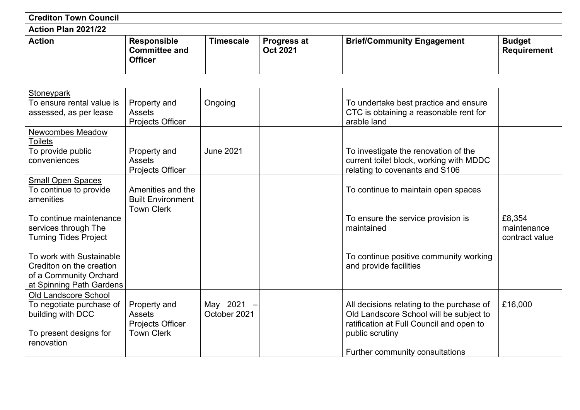| <b>Crediton Town Council</b> |                                                              |                  |                                       |                                   |                                     |
|------------------------------|--------------------------------------------------------------|------------------|---------------------------------------|-----------------------------------|-------------------------------------|
| Action Plan 2021/22          |                                                              |                  |                                       |                                   |                                     |
| <b>Action</b>                | <b>Responsible</b><br><b>Committee and</b><br><b>Officer</b> | <b>Timescale</b> | <b>Progress at</b><br><b>Oct 2021</b> | <b>Brief/Community Engagement</b> | <b>Budget</b><br><b>Requirement</b> |

| <b>Stoneypark</b><br>To ensure rental value is<br>Property and<br>Ongoing<br>To undertake best practice and ensure<br>CTC is obtaining a reasonable rent for<br>assessed, as per lease<br><b>Assets</b><br>arable land<br>Projects Officer<br><b>Newcombes Meadow</b><br><b>Toilets</b><br>To provide public<br>Property and<br><b>June 2021</b><br>To investigate the renovation of the<br>current toilet block, working with MDDC<br><b>Assets</b><br>conveniences<br>relating to covenants and S106<br>Projects Officer<br><b>Small Open Spaces</b><br>To continue to provide<br>Amenities and the<br>To continue to maintain open spaces<br>amenities<br><b>Built Environment</b> |
|---------------------------------------------------------------------------------------------------------------------------------------------------------------------------------------------------------------------------------------------------------------------------------------------------------------------------------------------------------------------------------------------------------------------------------------------------------------------------------------------------------------------------------------------------------------------------------------------------------------------------------------------------------------------------------------|
|                                                                                                                                                                                                                                                                                                                                                                                                                                                                                                                                                                                                                                                                                       |
|                                                                                                                                                                                                                                                                                                                                                                                                                                                                                                                                                                                                                                                                                       |
|                                                                                                                                                                                                                                                                                                                                                                                                                                                                                                                                                                                                                                                                                       |
|                                                                                                                                                                                                                                                                                                                                                                                                                                                                                                                                                                                                                                                                                       |
|                                                                                                                                                                                                                                                                                                                                                                                                                                                                                                                                                                                                                                                                                       |
|                                                                                                                                                                                                                                                                                                                                                                                                                                                                                                                                                                                                                                                                                       |
|                                                                                                                                                                                                                                                                                                                                                                                                                                                                                                                                                                                                                                                                                       |
|                                                                                                                                                                                                                                                                                                                                                                                                                                                                                                                                                                                                                                                                                       |
|                                                                                                                                                                                                                                                                                                                                                                                                                                                                                                                                                                                                                                                                                       |
|                                                                                                                                                                                                                                                                                                                                                                                                                                                                                                                                                                                                                                                                                       |
|                                                                                                                                                                                                                                                                                                                                                                                                                                                                                                                                                                                                                                                                                       |
| <b>Town Clerk</b>                                                                                                                                                                                                                                                                                                                                                                                                                                                                                                                                                                                                                                                                     |
| To continue maintenance<br>£8,354<br>To ensure the service provision is                                                                                                                                                                                                                                                                                                                                                                                                                                                                                                                                                                                                               |
| maintenance<br>services through The<br>maintained                                                                                                                                                                                                                                                                                                                                                                                                                                                                                                                                                                                                                                     |
| <b>Turning Tides Project</b><br>contract value                                                                                                                                                                                                                                                                                                                                                                                                                                                                                                                                                                                                                                        |
|                                                                                                                                                                                                                                                                                                                                                                                                                                                                                                                                                                                                                                                                                       |
| To work with Sustainable<br>To continue positive community working                                                                                                                                                                                                                                                                                                                                                                                                                                                                                                                                                                                                                    |
| Crediton on the creation<br>and provide facilities                                                                                                                                                                                                                                                                                                                                                                                                                                                                                                                                                                                                                                    |
| of a Community Orchard<br>at Spinning Path Gardens                                                                                                                                                                                                                                                                                                                                                                                                                                                                                                                                                                                                                                    |
| <b>Old Landscore School</b>                                                                                                                                                                                                                                                                                                                                                                                                                                                                                                                                                                                                                                                           |
| May 2021<br>£16,000<br>To negotiate purchase of<br>Property and<br>All decisions relating to the purchase of                                                                                                                                                                                                                                                                                                                                                                                                                                                                                                                                                                          |
| October 2021<br>Old Landscore School will be subject to<br>building with DCC<br><b>Assets</b>                                                                                                                                                                                                                                                                                                                                                                                                                                                                                                                                                                                         |
| ratification at Full Council and open to<br>Projects Officer                                                                                                                                                                                                                                                                                                                                                                                                                                                                                                                                                                                                                          |
| <b>Town Clerk</b><br>To present designs for<br>public scrutiny                                                                                                                                                                                                                                                                                                                                                                                                                                                                                                                                                                                                                        |
| renovation                                                                                                                                                                                                                                                                                                                                                                                                                                                                                                                                                                                                                                                                            |
| Further community consultations                                                                                                                                                                                                                                                                                                                                                                                                                                                                                                                                                                                                                                                       |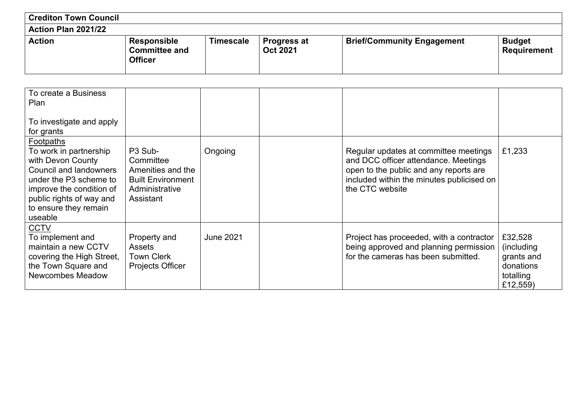| <b>Crediton Town Council</b> |                                                |                  |                                       |                                   |                                     |
|------------------------------|------------------------------------------------|------------------|---------------------------------------|-----------------------------------|-------------------------------------|
| Action Plan 2021/22          |                                                |                  |                                       |                                   |                                     |
| <b>Action</b>                | Responsible<br><b>Committee and</b><br>Officer | <b>Timescale</b> | <b>Progress at</b><br><b>Oct 2021</b> | <b>Brief/Community Engagement</b> | <b>Budget</b><br><b>Requirement</b> |

| To create a Business<br>Plan<br>To investigate and apply                                                                                                                                                        |                                                                                                      |                  |                                                                                                                                                                                         |                                                                           |
|-----------------------------------------------------------------------------------------------------------------------------------------------------------------------------------------------------------------|------------------------------------------------------------------------------------------------------|------------------|-----------------------------------------------------------------------------------------------------------------------------------------------------------------------------------------|---------------------------------------------------------------------------|
| for grants                                                                                                                                                                                                      |                                                                                                      |                  |                                                                                                                                                                                         |                                                                           |
| Footpaths<br>To work in partnership<br>with Devon County<br><b>Council and landowners</b><br>under the P3 scheme to<br>improve the condition of<br>public rights of way and<br>to ensure they remain<br>useable | P3 Sub-<br>Committee<br>Amenities and the<br><b>Built Environment</b><br>Administrative<br>Assistant | Ongoing          | Regular updates at committee meetings<br>and DCC officer attendance. Meetings<br>open to the public and any reports are<br>included within the minutes publicised on<br>the CTC website | £1,233                                                                    |
| <b>CCTV</b><br>To implement and<br>maintain a new CCTV<br>covering the High Street,<br>the Town Square and<br><b>Newcombes Meadow</b>                                                                           | Property and<br><b>Assets</b><br><b>Town Clerk</b><br>Projects Officer                               | <b>June 2021</b> | Project has proceeded, with a contractor<br>being approved and planning permission<br>for the cameras has been submitted.                                                               | £32,528<br>(including<br>grants and<br>donations<br>totalling<br>£12,559) |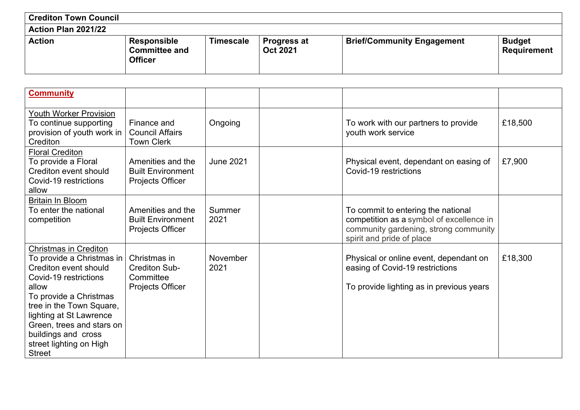| <b>Crediton Town Council</b> |                                                       |                  |                                       |                                   |                                     |
|------------------------------|-------------------------------------------------------|------------------|---------------------------------------|-----------------------------------|-------------------------------------|
| Action Plan 2021/22          |                                                       |                  |                                       |                                   |                                     |
| <b>Action</b>                | Responsible<br><b>Committee and</b><br><b>Officer</b> | <b>Timescale</b> | <b>Progress at</b><br><b>Oct 2021</b> | <b>Brief/Community Engagement</b> | <b>Budget</b><br><b>Requirement</b> |

| <b>Community</b>                                                                                                                                                                                                                                                                                      |                                                                       |                  |                                                                                                                                                      |         |
|-------------------------------------------------------------------------------------------------------------------------------------------------------------------------------------------------------------------------------------------------------------------------------------------------------|-----------------------------------------------------------------------|------------------|------------------------------------------------------------------------------------------------------------------------------------------------------|---------|
| <b>Youth Worker Provision</b><br>To continue supporting<br>provision of youth work in<br>Crediton                                                                                                                                                                                                     | Finance and<br><b>Council Affairs</b><br><b>Town Clerk</b>            | Ongoing          | To work with our partners to provide<br>youth work service                                                                                           | £18,500 |
| <b>Floral Crediton</b><br>To provide a Floral<br>Crediton event should<br>Covid-19 restrictions<br>allow                                                                                                                                                                                              | Amenities and the<br><b>Built Environment</b><br>Projects Officer     | <b>June 2021</b> | Physical event, dependant on easing of<br>Covid-19 restrictions                                                                                      | £7,900  |
| <b>Britain In Bloom</b><br>To enter the national<br>competition                                                                                                                                                                                                                                       | Amenities and the<br><b>Built Environment</b><br>Projects Officer     | Summer<br>2021   | To commit to entering the national<br>competition as a symbol of excellence in<br>community gardening, strong community<br>spirit and pride of place |         |
| <b>Christmas in Crediton</b><br>To provide a Christmas in<br>Crediton event should<br>Covid-19 restrictions<br>allow<br>To provide a Christmas<br>tree in the Town Square,<br>lighting at St Lawrence<br>Green, trees and stars on<br>buildings and cross<br>street lighting on High<br><b>Street</b> | Christmas in<br><b>Crediton Sub-</b><br>Committee<br>Projects Officer | November<br>2021 | Physical or online event, dependant on<br>easing of Covid-19 restrictions<br>To provide lighting as in previous years                                | £18,300 |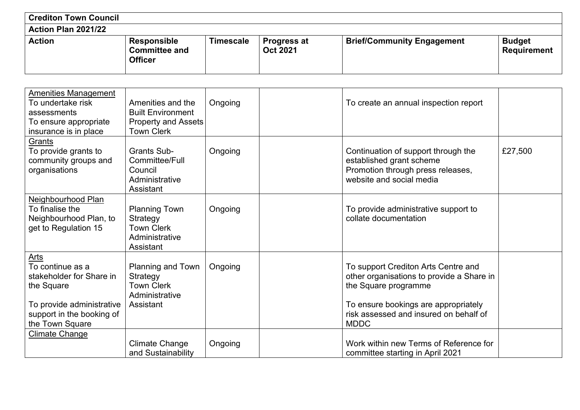| <b>Crediton Town Council</b> |                                                              |                  |                                       |                                   |                                     |
|------------------------------|--------------------------------------------------------------|------------------|---------------------------------------|-----------------------------------|-------------------------------------|
| Action Plan 2021/22          |                                                              |                  |                                       |                                   |                                     |
| <b>Action</b>                | <b>Responsible</b><br><b>Committee and</b><br><b>Officer</b> | <b>Timescale</b> | <b>Progress at</b><br><b>Oct 2021</b> | <b>Brief/Community Engagement</b> | <b>Budget</b><br><b>Requirement</b> |

| <b>Amenities Management</b><br>To undertake risk<br>assessments<br>To ensure appropriate<br>insurance is in place                                      | Amenities and the<br><b>Built Environment</b><br><b>Property and Assets</b><br><b>Town Clerk</b> | Ongoing | To create an annual inspection report                                                                                                                                                                     |         |
|--------------------------------------------------------------------------------------------------------------------------------------------------------|--------------------------------------------------------------------------------------------------|---------|-----------------------------------------------------------------------------------------------------------------------------------------------------------------------------------------------------------|---------|
| Grants<br>To provide grants to<br>community groups and<br>organisations                                                                                | <b>Grants Sub-</b><br>Committee/Full<br>Council<br>Administrative<br>Assistant                   | Ongoing | Continuation of support through the<br>established grant scheme<br>Promotion through press releases,<br>website and social media                                                                          | £27,500 |
| Neighbourhood Plan<br>To finalise the<br>Neighbourhood Plan, to<br>get to Regulation 15                                                                | <b>Planning Town</b><br>Strategy<br><b>Town Clerk</b><br>Administrative<br>Assistant             | Ongoing | To provide administrative support to<br>collate documentation                                                                                                                                             |         |
| <u>Arts</u><br>To continue as a<br>stakeholder for Share in<br>the Square<br>To provide administrative<br>support in the booking of<br>the Town Square | Planning and Town<br>Strategy<br><b>Town Clerk</b><br>Administrative<br>Assistant                | Ongoing | To support Crediton Arts Centre and<br>other organisations to provide a Share in<br>the Square programme<br>To ensure bookings are appropriately<br>risk assessed and insured on behalf of<br><b>MDDC</b> |         |
| <b>Climate Change</b>                                                                                                                                  | <b>Climate Change</b><br>and Sustainability                                                      | Ongoing | Work within new Terms of Reference for<br>committee starting in April 2021                                                                                                                                |         |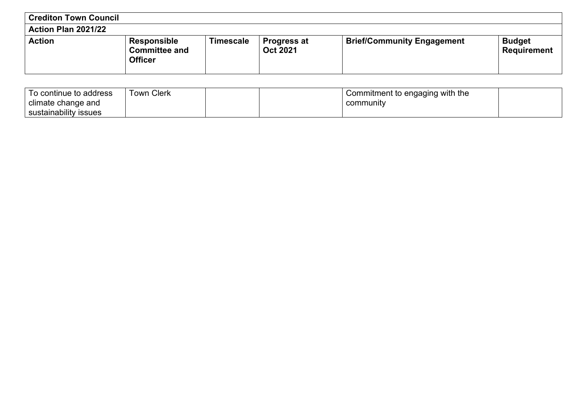| <b>Crediton Town Council</b> |                                                       |           |                                       |                                   |                                     |
|------------------------------|-------------------------------------------------------|-----------|---------------------------------------|-----------------------------------|-------------------------------------|
| Action Plan 2021/22          |                                                       |           |                                       |                                   |                                     |
| <b>Action</b>                | Responsible<br><b>Committee and</b><br><b>Officer</b> | Timescale | <b>Progress at</b><br><b>Oct 2021</b> | <b>Brief/Community Engagement</b> | <b>Budget</b><br><b>Requirement</b> |

| o continue to address      | ∖ Clerk<br>i own |  | Commitment to engaging with the |  |
|----------------------------|------------------|--|---------------------------------|--|
| climate change and         |                  |  | community                       |  |
| .<br>sustainability issues |                  |  |                                 |  |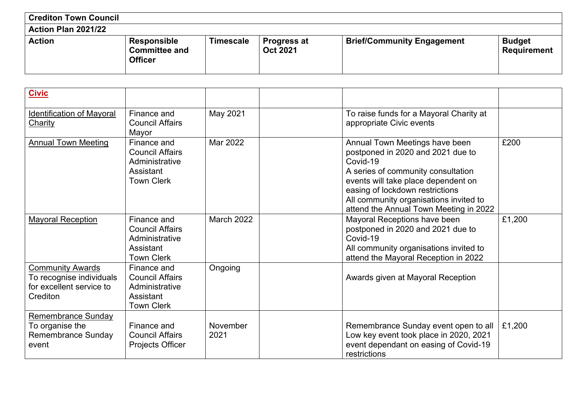| <b>Crediton Town Council</b> |                                                       |                  |                                       |                                   |                                     |
|------------------------------|-------------------------------------------------------|------------------|---------------------------------------|-----------------------------------|-------------------------------------|
| <b>Action Plan 2021/22</b>   |                                                       |                  |                                       |                                   |                                     |
| <b>Action</b>                | Responsible<br><b>Committee and</b><br><b>Officer</b> | <b>Timescale</b> | <b>Progress at</b><br><b>Oct 2021</b> | <b>Brief/Community Engagement</b> | <b>Budget</b><br><b>Requirement</b> |

| <b>Civic</b>                                                                                |                                                                                           |                  |                                                                                                                                                                                                                                                                                     |        |
|---------------------------------------------------------------------------------------------|-------------------------------------------------------------------------------------------|------------------|-------------------------------------------------------------------------------------------------------------------------------------------------------------------------------------------------------------------------------------------------------------------------------------|--------|
| <b>Identification of Mayoral</b><br><b>Charity</b>                                          | Finance and<br><b>Council Affairs</b><br>Mayor                                            | May 2021         | To raise funds for a Mayoral Charity at<br>appropriate Civic events                                                                                                                                                                                                                 |        |
| <b>Annual Town Meeting</b>                                                                  | Finance and<br><b>Council Affairs</b><br>Administrative<br>Assistant<br><b>Town Clerk</b> | Mar 2022         | Annual Town Meetings have been<br>postponed in 2020 and 2021 due to<br>Covid-19<br>A series of community consultation<br>events will take place dependent on<br>easing of lockdown restrictions<br>All community organisations invited to<br>attend the Annual Town Meeting in 2022 | £200   |
| <b>Mayoral Reception</b>                                                                    | Finance and<br><b>Council Affairs</b><br>Administrative<br>Assistant<br><b>Town Clerk</b> | March 2022       | Mayoral Receptions have been<br>postponed in 2020 and 2021 due to<br>Covid-19<br>All community organisations invited to<br>attend the Mayoral Reception in 2022                                                                                                                     | £1,200 |
| <b>Community Awards</b><br>To recognise individuals<br>for excellent service to<br>Crediton | Finance and<br><b>Council Affairs</b><br>Administrative<br>Assistant<br><b>Town Clerk</b> | Ongoing          | Awards given at Mayoral Reception                                                                                                                                                                                                                                                   |        |
| Remembrance Sunday<br>To organise the<br><b>Remembrance Sunday</b><br>event                 | Finance and<br><b>Council Affairs</b><br><b>Projects Officer</b>                          | November<br>2021 | Remembrance Sunday event open to all<br>Low key event took place in 2020, 2021<br>event dependant on easing of Covid-19<br>restrictions                                                                                                                                             | £1,200 |